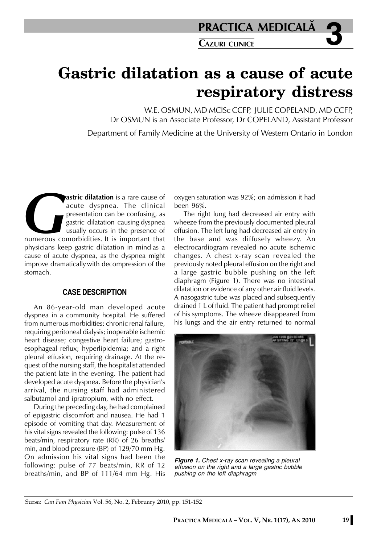# **Gastric dilatation as a cause of acute respiratory distress**

W.E. OSMUN, MD MClSc CCFP, JULIE COPELAND, MD CCFP, Dr OSMUN is an Associate Professor, Dr COPELAND, Assistant Professor Department of Family Medicine at the University of Western Ontario in London

**astric dilatation** is a rare cause of<br>
acute dyspnea. The clinical<br>
presentation can be confusing, as<br>
gastric dilatation causing dyspnea<br>
usually occurs in the presence of<br>
numerous comorbidities. It is important that<br>
p acute dyspnea. The clinical presentation can be confusing, as gastric dilatation causing dyspnea usually occurs in the presence of numerous comorbidities. It is important that physicians keep gastric dilatation in mind as a cause of acute dyspnea, as the dyspnea might improve dramatically with decompression of the stomach.

### **CASE DESCRIPTION**

An 86-year-old man developed acute dyspnea in a community hospital. He suffered from numerous morbidities: chronic renal failure, requiring peritoneal dialysis; inoperable ischemic heart disease; congestive heart failure; gastroesophageal reflux; hyperlipidemia; and a right pleural effusion, requiring drainage. At the request of the nursing staff, the hospitalist attended the patient late in the evening. The patient had developed acute dyspnea. Before the physician's arrival, the nursing staff had administered salbutamol and ipratropium, with no effect.

During the preceding day, he had complained of epigastric discomfort and nausea. He had 1 episode of vomiting that day. Measurement of his vital signs revealed the following: pulse of 136 beats/min, respiratory rate (RR) of 26 breaths/ min, and blood pressure (BP) of 129/70 mm Hg. On admission his vit**a**l signs had been the following: pulse of 77 beats/min, RR of 12 breaths/min, and BP of 111/64 mm Hg. His

oxygen saturation was 92%; on admission it had been 96%.

The right lung had decreased air entry with wheeze from the previously documented pleural effusion. The left lung had decreased air entry in the base and was diffusely wheezy. An electrocardiogram revealed no acute ischemic changes. A chest x-ray scan revealed the previously noted pleural effusion on the right and a large gastric bubble pushing on the left diaphragm (Figure 1). There was no intestinal dilatation or evidence of any other air fluid levels. A nasogastric tube was placed and subsequently drained 1 L of fluid. The patient had prompt relief of his symptoms. The wheeze disappeared from his lungs and the air entry returned to normal



*Figure 1. Chest x-ray scan revealing a pleural effusion on the right and a large gastric bubble pushing on the left diaphragm*